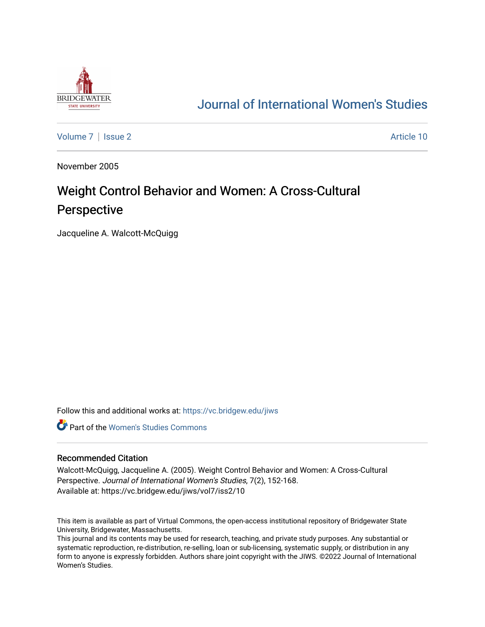

# [Journal of International Women's Studies](https://vc.bridgew.edu/jiws)

[Volume 7](https://vc.bridgew.edu/jiws/vol7) | [Issue 2](https://vc.bridgew.edu/jiws/vol7/iss2) Article 10

November 2005

# Weight Control Behavior and Women: A Cross-Cultural Perspective

Jacqueline A. Walcott-McQuigg

Follow this and additional works at: [https://vc.bridgew.edu/jiws](https://vc.bridgew.edu/jiws?utm_source=vc.bridgew.edu%2Fjiws%2Fvol7%2Fiss2%2F10&utm_medium=PDF&utm_campaign=PDFCoverPages)

**C** Part of the Women's Studies Commons

#### Recommended Citation

Walcott-McQuigg, Jacqueline A. (2005). Weight Control Behavior and Women: A Cross-Cultural Perspective. Journal of International Women's Studies, 7(2), 152-168. Available at: https://vc.bridgew.edu/jiws/vol7/iss2/10

This item is available as part of Virtual Commons, the open-access institutional repository of Bridgewater State University, Bridgewater, Massachusetts.

This journal and its contents may be used for research, teaching, and private study purposes. Any substantial or systematic reproduction, re-distribution, re-selling, loan or sub-licensing, systematic supply, or distribution in any form to anyone is expressly forbidden. Authors share joint copyright with the JIWS. ©2022 Journal of International Women's Studies.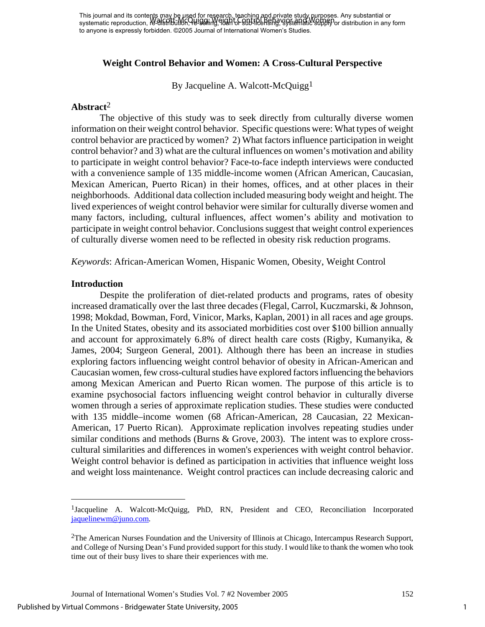## **Weight Control Behavior and Women: A Cross-Cultural Perspective**

By Jacqueline A. Walcott-McQuigg<sup>1</sup>

## **Abstract**[2](#page-1-1)

The objective of this study was to seek directly from culturally diverse women information on their weight control behavior. Specific questions were: What types of weight control behavior are practiced by women? 2) What factors influence participation in weight control behavior? and 3) what are the cultural influences on women's motivation and ability to participate in weight control behavior? Face-to-face indepth interviews were conducted with a convenience sample of 135 middle-income women (African American, Caucasian, Mexican American, Puerto Rican) in their homes, offices, and at other places in their neighborhoods. Additional data collection included measuring body weight and height. The lived experiences of weight control behavior were similar for culturally diverse women and many factors, including, cultural influences, affect women's ability and motivation to participate in weight control behavior. Conclusions suggest that weight control experiences of culturally diverse women need to be reflected in obesity risk reduction programs.

*Keywords*: African-American Women, Hispanic Women, Obesity, Weight Control

#### **Introduction**

 $\overline{a}$ 

Despite the proliferation of diet-related products and programs, rates of obesity increased dramatically over the last three decades (Flegal, Carrol, Kuczmarski, & Johnson, 1998; Mokdad, Bowman, Ford, Vinicor, Marks, Kaplan, 2001) in all races and age groups. In the United States, obesity and its associated morbidities cost over \$100 billion annually and account for approximately 6.8% of direct health care costs (Rigby, Kumanyika, & James, 2004; Surgeon General, 2001). Although there has been an increase in studies exploring factors influencing weight control behavior of obesity in African-American and Caucasian women, few cross-cultural studies have explored factors influencing the behaviors among Mexican American and Puerto Rican women. The purpose of this article is to examine psychosocial factors influencing weight control behavior in culturally diverse women through a series of approximate replication studies. These studies were conducted with 135 middle–income women (68 African-American, 28 Caucasian, 22 Mexican-American, 17 Puerto Rican). Approximate replication involves repeating studies under similar conditions and methods (Burns & Grove, 2003). The intent was to explore crosscultural similarities and differences in women's experiences with weight control behavior. Weight control behavior is defined as participation in activities that influence weight loss and weight loss maintenance. Weight control practices can include decreasing caloric and

<span id="page-1-0"></span><sup>1</sup>Jacqueline A. Walcott-McQuigg, PhD, RN, President and CEO, Reconciliation Incorporated [jaquelinewm@juno.com.](mailto:jaquelinewm@juno.com)

<span id="page-1-1"></span><sup>2</sup>The American Nurses Foundation and the University of Illinois at Chicago, Intercampus Research Support, and College of Nursing Dean's Fund provided support for this study. I would like to thank the women who took time out of their busy lives to share their experiences with me.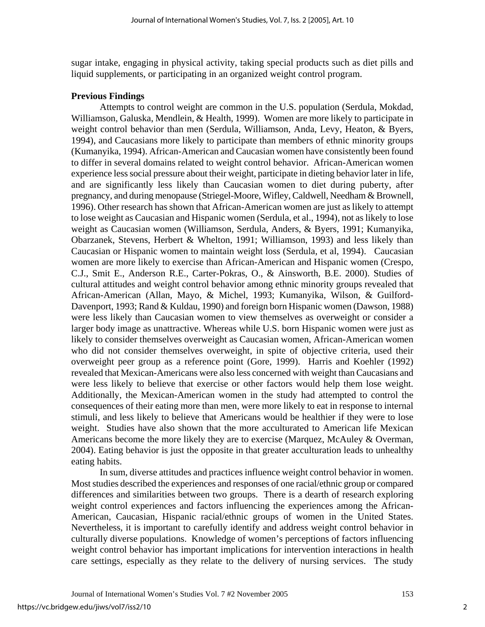sugar intake, engaging in physical activity, taking special products such as diet pills and liquid supplements, or participating in an organized weight control program.

## **Previous Findings**

 Attempts to control weight are common in the U.S. population (Serdula, Mokdad, Williamson, Galuska, Mendlein, & Health, 1999). Women are more likely to participate in weight control behavior than men (Serdula, Williamson, Anda, Levy, Heaton, & Byers, 1994), and Caucasians more likely to participate than members of ethnic minority groups (Kumanyika, 1994). African-American and Caucasian women have consistently been found to differ in several domains related to weight control behavior. African-American women experience less social pressure about their weight, participate in dieting behavior later in life, and are significantly less likely than Caucasian women to diet during puberty, after pregnancy, and during menopause (Striegel-Moore, Wifley, Caldwell, Needham & Brownell, 1996). Other research has shown that African-American women are just as likely to attempt to lose weight as Caucasian and Hispanic women (Serdula, et al., 1994), not as likely to lose weight as Caucasian women (Williamson, Serdula, Anders, & Byers, 1991; Kumanyika, Obarzanek, Stevens, Herbert & Whelton, 1991; Williamson, 1993) and less likely than Caucasian or Hispanic women to maintain weight loss (Serdula, et al, 1994). Caucasian women are more likely to exercise than African-American and Hispanic women (Crespo, C.J., Smit E., Anderson R.E., Carter-Pokras, O., & Ainsworth, B.E. 2000). Studies of cultural attitudes and weight control behavior among ethnic minority groups revealed that African-American (Allan, Mayo, & Michel, 1993; Kumanyika, Wilson, & Guilford-Davenport, 1993; Rand & Kuldau, 1990) and foreign born Hispanic women (Dawson, 1988) were less likely than Caucasian women to view themselves as overweight or consider a larger body image as unattractive. Whereas while U.S. born Hispanic women were just as likely to consider themselves overweight as Caucasian women, African-American women who did not consider themselves overweight, in spite of objective criteria, used their overweight peer group as a reference point (Gore, 1999). Harris and Koehler (1992) revealed that Mexican-Americans were also less concerned with weight than Caucasians and were less likely to believe that exercise or other factors would help them lose weight. Additionally, the Mexican-American women in the study had attempted to control the consequences of their eating more than men, were more likely to eat in response to internal stimuli, and less likely to believe that Americans would be healthier if they were to lose weight. Studies have also shown that the more acculturated to American life Mexican Americans become the more likely they are to exercise (Marquez, McAuley & Overman, 2004). Eating behavior is just the opposite in that greater acculturation leads to unhealthy eating habits.

 In sum, diverse attitudes and practices influence weight control behavior in women. Most studies described the experiences and responses of one racial/ethnic group or compared differences and similarities between two groups. There is a dearth of research exploring weight control experiences and factors influencing the experiences among the African-American, Caucasian, Hispanic racial/ethnic groups of women in the United States. Nevertheless, it is important to carefully identify and address weight control behavior in culturally diverse populations. Knowledge of women's perceptions of factors influencing weight control behavior has important implications for intervention interactions in health care settings, especially as they relate to the delivery of nursing services. The study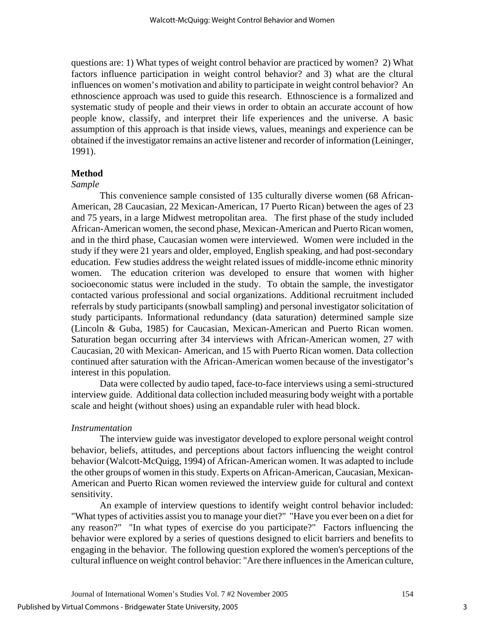questions are: 1) What types of weight control behavior are practiced by women? 2) What factors influence participation in weight control behavior? and 3) what are the cltural influences on women's motivation and ability to participate in weight control behavior? An ethnoscience approach was used to guide this research. Ethnoscience is a formalized and systematic study of people and their views in order to obtain an accurate account of how people know, classify, and interpret their life experiences and the universe. A basic assumption of this approach is that inside views, values, meanings and experience can be obtained if the investigator remains an active listener and recorder of information (Leininger, 1991).

#### **Method**

#### *Sample*

 This convenience sample consisted of 135 culturally diverse women (68 African-American, 28 Caucasian, 22 Mexican-American, 17 Puerto Rican) between the ages of 23 and 75 years, in a large Midwest metropolitan area. The first phase of the study included African-American women, the second phase, Mexican-American and Puerto Rican women, and in the third phase, Caucasian women were interviewed. Women were included in the study if they were 21 years and older, employed, English speaking, and had post-secondary education. Few studies address the weight related issues of middle-income ethnic minority women. The education criterion was developed to ensure that women with higher socioeconomic status were included in the study. To obtain the sample, the investigator contacted various professional and social organizations. Additional recruitment included referrals by study participants (snowball sampling) and personal investigator solicitation of study participants. Informational redundancy (data saturation) determined sample size (Lincoln & Guba, 1985) for Caucasian, Mexican-American and Puerto Rican women. Saturation began occurring after 34 interviews with African-American women, 27 with Caucasian, 20 with Mexican- American, and 15 with Puerto Rican women. Data collection continued after saturation with the African-American women because of the investigator's interest in this population.

 Data were collected by audio taped, face-to-face interviews using a semi-structured interview guide. Additional data collection included measuring body weight with a portable scale and height (without shoes) using an expandable ruler with head block.

#### *Instrumentation*

 The interview guide was investigator developed to explore personal weight control behavior, beliefs, attitudes, and perceptions about factors influencing the weight control behavior (Walcott-McQuigg, 1994) of African-American women. It was adapted to include the other groups of women in this study. Experts on African-American, Caucasian, Mexican-American and Puerto Rican women reviewed the interview guide for cultural and context sensitivity.

 An example of interview questions to identify weight control behavior included: "What types of activities assist you to manage your diet?" "Have you ever been on a diet for any reason?" "In what types of exercise do you participate?" Factors influencing the behavior were explored by a series of questions designed to elicit barriers and benefits to engaging in the behavior. The following question explored the women's perceptions of the cultural influence on weight control behavior: "Are there influences in the American culture,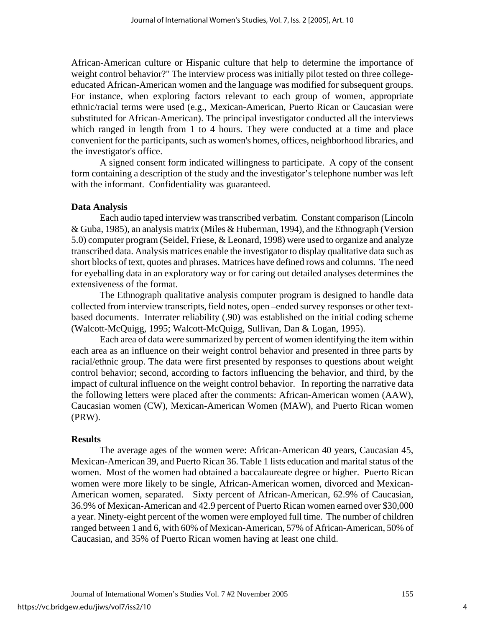African-American culture or Hispanic culture that help to determine the importance of weight control behavior?" The interview process was initially pilot tested on three collegeeducated African-American women and the language was modified for subsequent groups. For instance, when exploring factors relevant to each group of women, appropriate ethnic/racial terms were used (e.g., Mexican-American, Puerto Rican or Caucasian were substituted for African-American). The principal investigator conducted all the interviews which ranged in length from 1 to 4 hours. They were conducted at a time and place convenient for the participants, such as women's homes, offices, neighborhood libraries, and the investigator's office.

 A signed consent form indicated willingness to participate. A copy of the consent form containing a description of the study and the investigator's telephone number was left with the informant. Confidentiality was guaranteed.

#### **Data Analysis**

 Each audio taped interview was transcribed verbatim. Constant comparison (Lincoln & Guba, 1985), an analysis matrix (Miles & Huberman, 1994), and the Ethnograph (Version 5.0) computer program (Seidel, Friese, & Leonard, 1998) were used to organize and analyze transcribed data. Analysis matrices enable the investigator to display qualitative data such as short blocks of text, quotes and phrases. Matrices have defined rows and columns. The need for eyeballing data in an exploratory way or for caring out detailed analyses determines the extensiveness of the format.

 The Ethnograph qualitative analysis computer program is designed to handle data collected from interview transcripts, field notes, open –ended survey responses or other textbased documents. Interrater reliability (.90) was established on the initial coding scheme (Walcott-McQuigg, 1995; Walcott-McQuigg, Sullivan, Dan & Logan, 1995).

 Each area of data were summarized by percent of women identifying the item within each area as an influence on their weight control behavior and presented in three parts by racial/ethnic group. The data were first presented by responses to questions about weight control behavior; second, according to factors influencing the behavior, and third, by the impact of cultural influence on the weight control behavior. In reporting the narrative data the following letters were placed after the comments: African-American women (AAW), Caucasian women (CW), Mexican-American Women (MAW), and Puerto Rican women (PRW).

#### **Results**

 The average ages of the women were: African-American 40 years, Caucasian 45, Mexican-American 39, and Puerto Rican 36. Table 1 lists education and marital status of the women. Most of the women had obtained a baccalaureate degree or higher. Puerto Rican women were more likely to be single, African-American women, divorced and Mexican-American women, separated. Sixty percent of African-American, 62.9% of Caucasian, 36.9% of Mexican-American and 42.9 percent of Puerto Rican women earned over \$30,000 a year. Ninety-eight percent of the women were employed full time. The number of children ranged between 1 and 6, with 60% of Mexican-American, 57% of African-American, 50% of Caucasian, and 35% of Puerto Rican women having at least one child.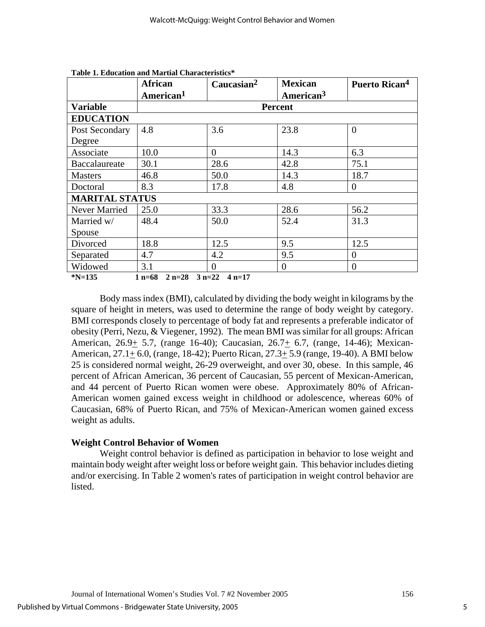|                       | <b>African</b>                | Caucasian <sup>2</sup> | <b>Mexican</b>        | Puerto Rican <sup>4</sup> |  |
|-----------------------|-------------------------------|------------------------|-----------------------|---------------------------|--|
|                       | American <sup>1</sup>         |                        | American <sup>3</sup> |                           |  |
| <b>Variable</b>       | <b>Percent</b>                |                        |                       |                           |  |
| <b>EDUCATION</b>      |                               |                        |                       |                           |  |
| Post Secondary        | 4.8                           | 3.6                    | 23.8                  | $\Omega$                  |  |
| Degree                |                               |                        |                       |                           |  |
| Associate             | 10.0                          | $\Omega$               | 14.3                  | 6.3                       |  |
| Baccalaureate         | 30.1                          | 28.6                   | 42.8                  | 75.1                      |  |
| <b>Masters</b>        | 46.8                          | 50.0                   | 14.3                  | 18.7                      |  |
| Doctoral              | 8.3                           | 17.8                   | 4.8                   | $\Omega$                  |  |
| <b>MARITAL STATUS</b> |                               |                        |                       |                           |  |
| Never Married         | 25.0                          | 33.3                   | 28.6                  | 56.2                      |  |
| Married w/            | 48.4                          | 50.0                   | 52.4                  | 31.3                      |  |
| Spouse                |                               |                        |                       |                           |  |
| Divorced              | 18.8                          | 12.5                   | 9.5                   | 12.5                      |  |
| Separated             | 4.7                           | 4.2                    | 9.5                   | $\theta$                  |  |
| Widowed               | 3.1                           | $\Omega$               | $\theta$              | $\Omega$                  |  |
| $N = 135$             | 1 $n=68$<br>$2 n=28$ $3 n=22$ | $4 n=17$               |                       |                           |  |

**Table 1. Education and Martial Characteristics\*** 

 Body mass index (BMI), calculated by dividing the body weight in kilograms by the square of height in meters, was used to determine the range of body weight by category. BMI corresponds closely to percentage of body fat and represents a preferable indicator of obesity (Perri, Nezu, & Viegener, 1992). The mean BMI was similar for all groups: African American, 26.9+ 5.7, (range 16-40); Caucasian, 26.7+ 6.7, (range, 14-46); Mexican-American, 27.1+ 6.0, (range, 18-42); Puerto Rican, 27.3+ 5.9 (range, 19-40). A BMI below 25 is considered normal weight, 26-29 overweight, and over 30, obese. In this sample, 46 percent of African American, 36 percent of Caucasian, 55 percent of Mexican-American, and 44 percent of Puerto Rican women were obese. Approximately 80% of African-American women gained excess weight in childhood or adolescence, whereas 60% of Caucasian, 68% of Puerto Rican, and 75% of Mexican-American women gained excess weight as adults.

## **Weight Control Behavior of Women**

 Weight control behavior is defined as participation in behavior to lose weight and maintain body weight after weight loss or before weight gain. This behavior includes dieting and/or exercising. In Table 2 women's rates of participation in weight control behavior are listed.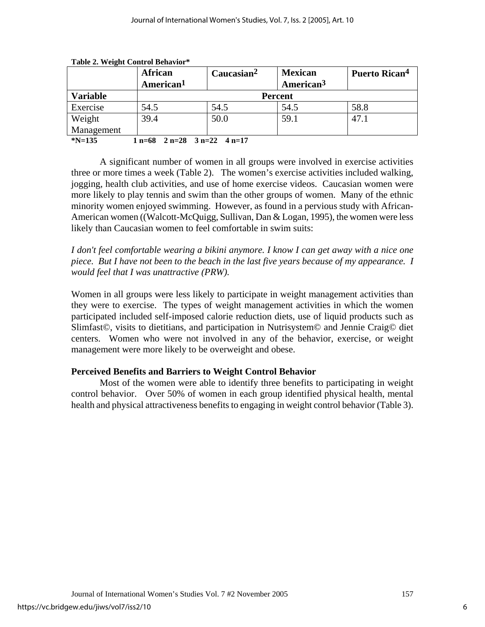|                                                | <b>African</b>        | Caucasian <sup>2</sup> | <b>Mexican</b>        | <b>Puerto Rican<sup>4</sup></b> |  |
|------------------------------------------------|-----------------------|------------------------|-----------------------|---------------------------------|--|
|                                                | American <sup>1</sup> |                        | American <sup>3</sup> |                                 |  |
| <b>Variable</b>                                | <b>Percent</b>        |                        |                       |                                 |  |
| Exercise                                       | 54.5                  | 54.5                   | 54.5                  | 58.8                            |  |
| Weight                                         | 39.4                  | 50.0                   | 59.1                  | 47.1                            |  |
| Management                                     |                       |                        |                       |                                 |  |
| $N=135$<br>$1 n=68$ $2 n=28$ $3 n=22$ $4 n=17$ |                       |                        |                       |                                 |  |

**Table 2. Weight Control Behavior\*** 

 A significant number of women in all groups were involved in exercise activities three or more times a week (Table 2). The women's exercise activities included walking, jogging, health club activities, and use of home exercise videos. Caucasian women were more likely to play tennis and swim than the other groups of women. Many of the ethnic minority women enjoyed swimming. However, as found in a pervious study with African-American women ((Walcott-McQuigg, Sullivan, Dan & Logan, 1995), the women were less likely than Caucasian women to feel comfortable in swim suits:

*I don't feel comfortable wearing a bikini anymore. I know I can get away with a nice one piece. But I have not been to the beach in the last five years because of my appearance. I would feel that I was unattractive (PRW).* 

Women in all groups were less likely to participate in weight management activities than they were to exercise. The types of weight management activities in which the women participated included self-imposed calorie reduction diets, use of liquid products such as Slimfast©, visits to dietitians, and participation in Nutrisystem© and Jennie Craig© diet centers. Women who were not involved in any of the behavior, exercise, or weight management were more likely to be overweight and obese.

# **Perceived Benefits and Barriers to Weight Control Behavior**

 Most of the women were able to identify three benefits to participating in weight control behavior. Over 50% of women in each group identified physical health, mental health and physical attractiveness benefits to engaging in weight control behavior (Table 3).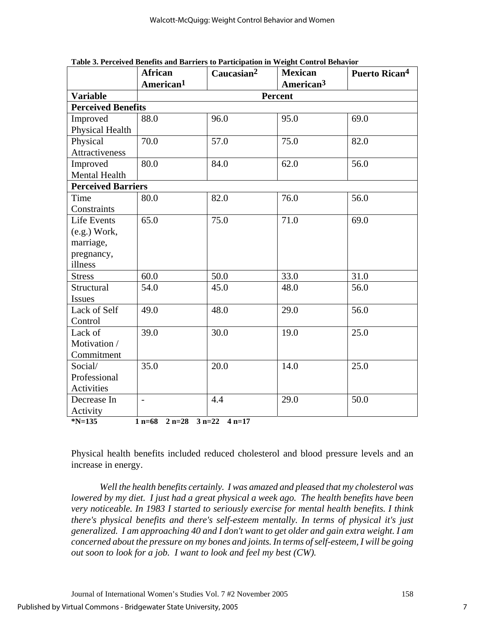|                                                           | <b>African</b>        | Caucasian <sup>2</sup> | <b>Mexican</b>        | Puerto Rican <sup>4</sup> |  |
|-----------------------------------------------------------|-----------------------|------------------------|-----------------------|---------------------------|--|
|                                                           | American <sup>1</sup> |                        | American <sup>3</sup> |                           |  |
| <b>Variable</b>                                           | Percent               |                        |                       |                           |  |
| <b>Perceived Benefits</b>                                 |                       |                        |                       |                           |  |
| Improved                                                  | 88.0                  | 96.0                   | 95.0                  | 69.0                      |  |
| Physical Health                                           |                       |                        |                       |                           |  |
| Physical                                                  | 70.0                  | 57.0                   | 75.0                  | 82.0                      |  |
| Attractiveness                                            |                       |                        |                       |                           |  |
| Improved                                                  | 80.0                  | 84.0                   | 62.0                  | 56.0                      |  |
| Mental Health                                             |                       |                        |                       |                           |  |
| <b>Perceived Barriers</b>                                 |                       |                        |                       |                           |  |
| Time                                                      | 80.0                  | 82.0                   | 76.0                  | 56.0                      |  |
| Constraints                                               |                       |                        |                       |                           |  |
| Life Events                                               | 65.0                  | 75.0                   | 71.0                  | 69.0                      |  |
| $(e.g.)$ Work,                                            |                       |                        |                       |                           |  |
| marriage,                                                 |                       |                        |                       |                           |  |
| pregnancy,                                                |                       |                        |                       |                           |  |
| illness                                                   |                       |                        |                       |                           |  |
| <b>Stress</b>                                             | 60.0                  | 50.0                   | 33.0                  | 31.0                      |  |
| Structural                                                | 54.0                  | 45.0                   | 48.0                  | 56.0                      |  |
| <b>Issues</b>                                             |                       |                        |                       |                           |  |
| Lack of Self                                              | 49.0                  | 48.0                   | 29.0                  | 56.0                      |  |
| Control                                                   |                       |                        |                       |                           |  |
| Lack of                                                   | 39.0                  | 30.0                   | 19.0                  | 25.0                      |  |
| Motivation /                                              |                       |                        |                       |                           |  |
| Commitment                                                |                       |                        |                       |                           |  |
| Social/                                                   | 35.0                  | 20.0                   | 14.0                  | 25.0                      |  |
| Professional                                              |                       |                        |                       |                           |  |
| Activities                                                |                       |                        |                       |                           |  |
| Decrease In                                               | $\overline{a}$        | 4.4                    | 29.0                  | 50.0                      |  |
| Activity                                                  |                       |                        |                       |                           |  |
| $N = 135$<br>$2 n=28$<br>$1 n=68$<br>$3 n=22$<br>$4 n=17$ |                       |                        |                       |                           |  |

**Table 3. Perceived Benefits and Barriers to Participation in Weight Control Behavior** 

Physical health benefits included reduced cholesterol and blood pressure levels and an increase in energy.

 *Well the health benefits certainly. I was amazed and pleased that my cholesterol was lowered by my diet. I just had a great physical a week ago. The health benefits have been very noticeable. In 1983 I started to seriously exercise for mental health benefits. I think there's physical benefits and there's self-esteem mentally. In terms of physical it's just generalized. I am approaching 40 and I don't want to get older and gain extra weight. I am concerned about the pressure on my bones and joints. In terms of self-esteem, I will be going out soon to look for a job. I want to look and feel my best (CW).*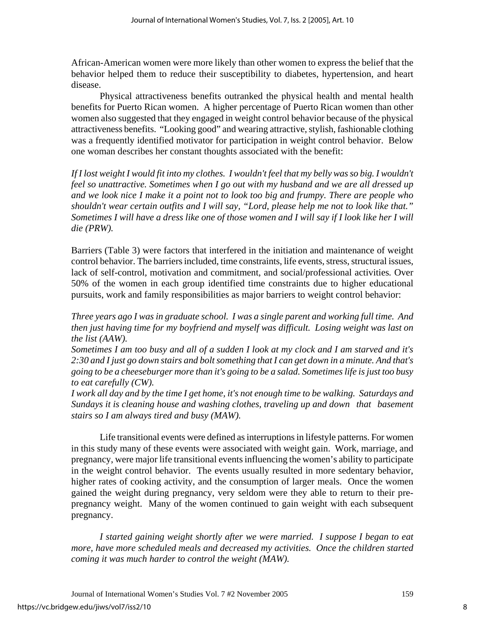African-American women were more likely than other women to express the belief that the behavior helped them to reduce their susceptibility to diabetes, hypertension, and heart disease.

 Physical attractiveness benefits outranked the physical health and mental health benefits for Puerto Rican women. A higher percentage of Puerto Rican women than other women also suggested that they engaged in weight control behavior because of the physical attractiveness benefits. "Looking good" and wearing attractive, stylish, fashionable clothing was a frequently identified motivator for participation in weight control behavior. Below one woman describes her constant thoughts associated with the benefit:

*If I lost weight I would fit into my clothes. I wouldn't feel that my belly was so big. I wouldn't feel so unattractive. Sometimes when I go out with my husband and we are all dressed up and we look nice I make it a point not to look too big and frumpy. There are people who shouldn't wear certain outfits and I will say, "Lord, please help me not to look like that." Sometimes I will have a dress like one of those women and I will say if I look like her I will die (PRW).* 

Barriers (Table 3) were factors that interfered in the initiation and maintenance of weight control behavior. The barriers included, time constraints, life events, stress, structural issues, lack of self-control*,* motivation and commitment, and social/professional activities*.* Over 50% of the women in each group identified time constraints due to higher educational pursuits, work and family responsibilities as major barriers to weight control behavior:

*Three years ago I was in graduate school. I was a single parent and working full time. And then just having time for my boyfriend and myself was difficult. Losing weight was last on the list (AAW).* 

*Sometimes I am too busy and all of a sudden I look at my clock and I am starved and it's 2:30 and I just go down stairs and bolt something that I can get down in a minute. And that's going to be a cheeseburger more than it's going to be a salad. Sometimes life is just too busy to eat carefully (CW).* 

*I work all day and by the time I get home, it's not enough time to be walking. Saturdays and Sundays it is cleaning house and washing clothes, traveling up and down that basement stairs so I am always tired and busy (MAW).* 

 Life transitional events were defined as interruptions in lifestyle patterns. For women in this study many of these events were associated with weight gain.Work, marriage, and pregnancy, were major life transitional events influencing the women's ability to participate in the weight control behavior. The events usually resulted in more sedentary behavior, higher rates of cooking activity, and the consumption of larger meals. Once the women gained the weight during pregnancy, very seldom were they able to return to their prepregnancy weight. Many of the women continued to gain weight with each subsequent pregnancy.

 *I started gaining weight shortly after we were married. I suppose I began to eat more, have more scheduled meals and decreased my activities. Once the children started coming it was much harder to control the weight (MAW).*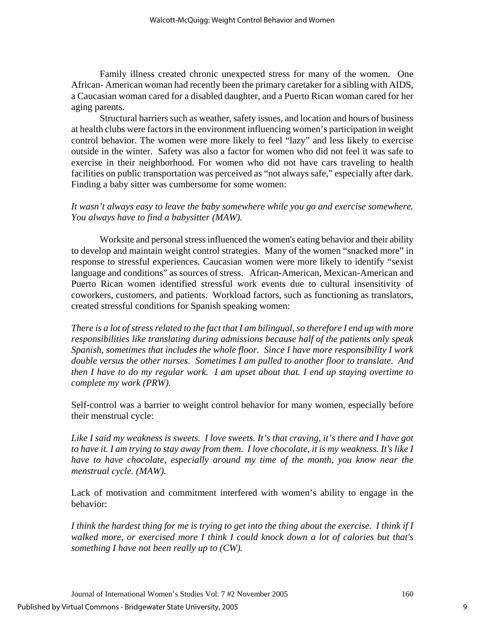Family illness created chronic unexpected stress for many of the women. One African- American woman had recently been the primary caretaker for a sibling with AIDS, a Caucasian woman cared for a disabled daughter, and a Puerto Rican woman cared for her aging parents.

Structural barriers such as weather, safety issues, and location and hours of business at health clubs were factors in the environment influencing women's participation in weight control behavior. The women were more likely to feel "lazy" and less likely to exercise outside in the winter. Safety was also a factor for women who did not feel it was safe to exercise in their neighborhood. For women who did not have cars traveling to health facilities on public transportation was perceived as "not always safe," especially after dark. Finding a baby sitter was cumbersome for some women:

## *It wasn't always easy to leave the baby somewhere while you go and exercise somewhere. You always have to find a babysitter (MAW).*

Worksite and personal stress influenced the women's eating behavior and their ability to develop and maintain weight control strategies. Many of the women "snacked more" in response to stressful experiences. Caucasian women were more likely to identify "sexist language and conditions" as sources of stress. African-American, Mexican-American and Puerto Rican women identified stressful work events due to cultural insensitivity of coworkers, customers, and patients. Workload factors, such as functioning as translators, created stressful conditions for Spanish speaking women:

*There is a lot of stress related to the fact that I am bilingual, so therefore I end up with more responsibilities like translating during admissions because half of the patients only speak Spanish, sometimes that includes the whole floor. Since I have more responsibility I work double versus the other nurses. Sometimes I am pulled to another floor to translate. And then I have to do my regular work. I am upset about that. I end up staying overtime to complete my work (PRW).* 

Self-control was a barrier to weight control behavior for many women, especially before their menstrual cycle:

*Like I said my weakness is sweets. I love sweets. It's that craving, it's there and I have got to have it. I am trying to stay away from them. I love chocolate, it is my weakness. It's like I have to have chocolate, especially around my time of the month, you know near the menstrual cycle. (MAW).* 

Lack of motivation and commitment interfered with women's ability to engage in the behavior:

*I think the hardest thing for me is trying to get into the thing about the exercise. I think if I walked more, or exercised more I think I could knock down a lot of calories but that's something I have not been really up to (CW).*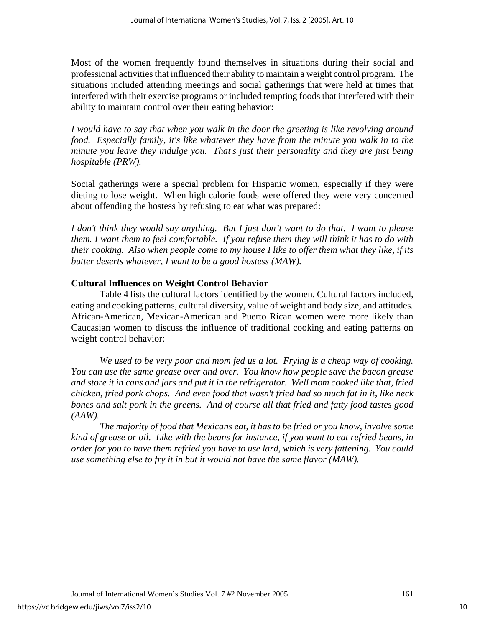Most of the women frequently found themselves in situations during their social and professional activities that influenced their ability to maintain a weight control program. The situations included attending meetings and social gatherings that were held at times that interfered with their exercise programs or included tempting foods that interfered with their ability to maintain control over their eating behavior:

*I would have to say that when you walk in the door the greeting is like revolving around food. Especially family, it's like whatever they have from the minute you walk in to the minute you leave they indulge you. That's just their personality and they are just being hospitable (PRW).* 

Social gatherings were a special problem for Hispanic women, especially if they were dieting to lose weight. When high calorie foods were offered they were very concerned about offending the hostess by refusing to eat what was prepared:

*I don't think they would say anything. But I just don't want to do that. I want to please them. I want them to feel comfortable. If you refuse them they will think it has to do with their cooking. Also when people come to my house I like to offer them what they like, if its butter deserts whatever, I want to be a good hostess (MAW).*

# **Cultural Influences on Weight Control Behavior**

 Table 4 lists the cultural factors identified by the women. Cultural factors included, eating and cooking patterns, cultural diversity, value of weight and body size*,* and attitudes*.*  African-American, Mexican-American and Puerto Rican women were more likely than Caucasian women to discuss the influence of traditional cooking and eating patterns on weight control behavior:

 *We used to be very poor and mom fed us a lot. Frying is a cheap way of cooking. You can use the same grease over and over. You know how people save the bacon grease and store it in cans and jars and put it in the refrigerator. Well mom cooked like that, fried chicken, fried pork chops. And even food that wasn't fried had so much fat in it, like neck bones and salt pork in the greens. And of course all that fried and fatty food tastes good (AAW).* 

 *The majority of food that Mexicans eat, it has to be fried or you know, involve some kind of grease or oil. Like with the beans for instance, if you want to eat refried beans, in order for you to have them refried you have to use lard, which is very fattening. You could use something else to fry it in but it would not have the same flavor (MAW).*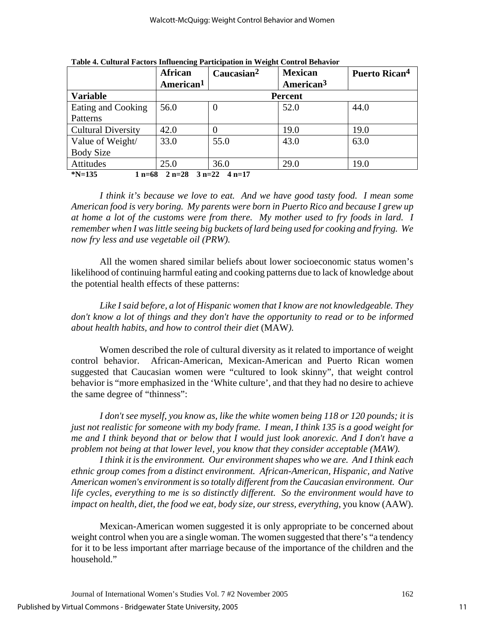|                                                      | <b>African</b>        | Caucasian <sup>2</sup> | <b>Mexican</b>        | Puerto Rican <sup>4</sup> |  |
|------------------------------------------------------|-----------------------|------------------------|-----------------------|---------------------------|--|
|                                                      | American <sup>1</sup> |                        | American <sup>3</sup> |                           |  |
| <b>Variable</b>                                      | <b>Percent</b>        |                        |                       |                           |  |
| Eating and Cooking                                   | 56.0                  | $\theta$               | 52.0                  | 44.0                      |  |
| Patterns                                             |                       |                        |                       |                           |  |
| <b>Cultural Diversity</b>                            | 42.0                  | $\mathcal{O}$          | 19.0                  | 19.0                      |  |
| Value of Weight/                                     | 33.0                  | 55.0                   | 43.0                  | 63.0                      |  |
| <b>Body Size</b>                                     |                       |                        |                       |                           |  |
| Attitudes                                            | 25.0                  | 36.0                   | 29.0                  | 19.0                      |  |
| $N=135$<br>$2 n=28$ 3 $n=22$<br>$4 n=17$<br>$1 n=68$ |                       |                        |                       |                           |  |

**Table 4. Cultural Factors Influencing Participation in Weight Control Behavior** 

 *I think it's because we love to eat. And we have good tasty food. I mean some American food is very boring. My parents were born in Puerto Rico and because I grew up at home a lot of the customs were from there. My mother used to fry foods in lard. I remember when I was little seeing big buckets of lard being used for cooking and frying. We now fry less and use vegetable oil (PRW).* 

 All the women shared similar beliefs about lower socioeconomic status women's likelihood of continuing harmful eating and cooking patterns due to lack of knowledge about the potential health effects of these patterns:

 *Like I said before, a lot of Hispanic women that I know are not knowledgeable. They don't know a lot of things and they don't have the opportunity to read or to be informed about health habits, and how to control their diet* (MAW*).* 

 Women described the role of cultural diversity as it related to importance of weight control behavior. African-American, Mexican-American and Puerto Rican women suggested that Caucasian women were "cultured to look skinny", that weight control behavior is "more emphasized in the 'White culture', and that they had no desire to achieve the same degree of "thinness":

 *I don't see myself, you know as, like the white women being 118 or 120 pounds; it is just not realistic for someone with my body frame. I mean, I think 135 is a good weight for me and I think beyond that or below that I would just look anorexic. And I don't have a problem not being at that lower level, you know that they consider acceptable (MAW).*

 *I think it is the environment. Our environment shapes who we are. And I think each ethnic group comes from a distinct environment. African-American, Hispanic, and Native American women's environment is so totally different from the Caucasian environment. Our life cycles, everything to me is so distinctly different. So the environment would have to impact on health, diet, the food we eat, body size, our stress, everything, you know (AAW).* 

 Mexican-American women suggested it is only appropriate to be concerned about weight control when you are a single woman. The women suggested that there's "a tendency for it to be less important after marriage because of the importance of the children and the household."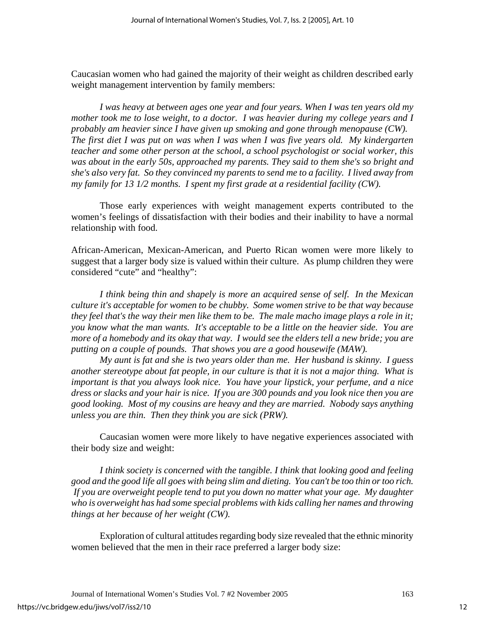Caucasian women who had gained the majority of their weight as children described early weight management intervention by family members:

 *I was heavy at between ages one year and four years. When I was ten years old my mother took me to lose weight, to a doctor. I was heavier during my college years and I probably am heavier since I have given up smoking and gone through menopause (CW). The first diet I was put on was when I was when I was five years old. My kindergarten teacher and some other person at the school, a school psychologist or social worker, this was about in the early 50s, approached my parents. They said to them she's so bright and she's also very fat. So they convinced my parents to send me to a facility. I lived away from my family for 13 1/2 months. I spent my first grade at a residential facility (CW).* 

 Those early experiences with weight management experts contributed to the women's feelings of dissatisfaction with their bodies and their inability to have a normal relationship with food.

African-American, Mexican-American, and Puerto Rican women were more likely to suggest that a larger body size is valued within their culture. As plump children they were considered "cute" and "healthy":

 *I think being thin and shapely is more an acquired sense of self. In the Mexican culture it's acceptable for women to be chubby. Some women strive to be that way because they feel that's the way their men like them to be. The male macho image plays a role in it; you know what the man wants. It's acceptable to be a little on the heavier side. You are more of a homebody and its okay that way. I would see the elders tell a new bride; you are putting on a couple of pounds. That shows you are a good housewife (MAW).* 

 *My aunt is fat and she is two years older than me. Her husband is skinny. I guess another stereotype about fat people, in our culture is that it is not a major thing. What is important is that you always look nice. You have your lipstick, your perfume, and a nice dress or slacks and your hair is nice. If you are 300 pounds and you look nice then you are good looking. Most of my cousins are heavy and they are married. Nobody says anything unless you are thin. Then they think you are sick (PRW).* 

 Caucasian women were more likely to have negative experiences associated with their body size and weight:

 *I think society is concerned with the tangible. I think that looking good and feeling good and the good life all goes with being slim and dieting. You can't be too thin or too rich. If you are overweight people tend to put you down no matter what your age. My daughter who is overweight has had some special problems with kids calling her names and throwing things at her because of her weight (CW).* 

 Exploration of cultural attitudes regarding body size revealed that the ethnic minority women believed that the men in their race preferred a larger body size: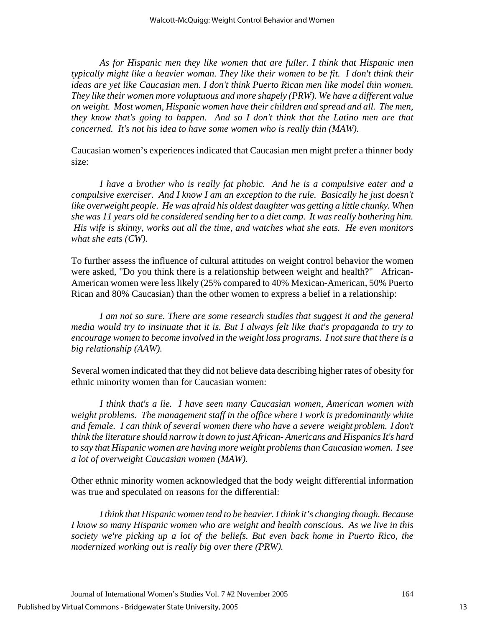*As for Hispanic men they like women that are fuller. I think that Hispanic men typically might like a heavier woman. They like their women to be fit. I don't think their ideas are yet like Caucasian men. I don't think Puerto Rican men like model thin women. They like their women more voluptuous and more shapely (PRW). We have a different value on weight. Most women, Hispanic women have their children and spread and all. The men, they know that's going to happen. And so I don't think that the Latino men are that concerned. It's not his idea to have some women who is really thin (MAW).* 

Caucasian women's experiences indicated that Caucasian men might prefer a thinner body size:

 *I have a brother who is really fat phobic. And he is a compulsive eater and a compulsive exerciser. And I know I am an exception to the rule. Basically he just doesn't*  like overweight people. He was afraid his oldest daughter was getting a little chunky. When *she was 11 years old he considered sending her to a diet camp. It was really bothering him. His wife is skinny, works out all the time, and watches what she eats. He even monitors what she eats (CW).* 

To further assess the influence of cultural attitudes on weight control behavior the women were asked, "Do you think there is a relationship between weight and health?" African-American women were less likely (25% compared to 40% Mexican-American, 50% Puerto Rican and 80% Caucasian) than the other women to express a belief in a relationship:

I am not so sure. There are some research studies that suggest it and the general *media would try to insinuate that it is. But I always felt like that's propaganda to try to encourage women to become involved in the weight loss programs. I not sure that there is a big relationship (AAW).* 

Several women indicated that they did not believe data describing higher rates of obesity for ethnic minority women than for Caucasian women:

 *I think that's a lie. I have seen many Caucasian women, American women with weight problems. The management staff in the office where I work is predominantly white and female. I can think of several women there who have a severe weight problem. I don't think the literature should narrow it down to just African- Americans and Hispanics It's hard to say that Hispanic women are having more weight problems than Caucasian women. I see a lot of overweight Caucasian women (MAW).* 

Other ethnic minority women acknowledged that the body weight differential information was true and speculated on reasons for the differential:

 *I think that Hispanic women tend to be heavier. I think it's changing though. Because I know so many Hispanic women who are weight and health conscious. As we live in this society we're picking up a lot of the beliefs. But even back home in Puerto Rico, the modernized working out is really big over there (PRW).*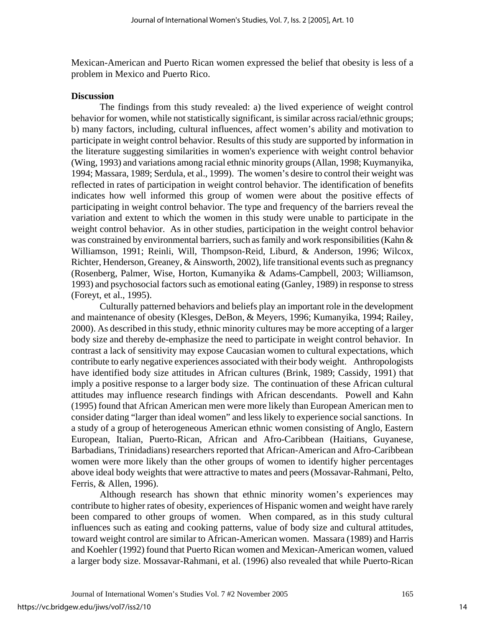Mexican-American and Puerto Rican women expressed the belief that obesity is less of a problem in Mexico and Puerto Rico.

## **Discussion**

 The findings from this study revealed: a) the lived experience of weight control behavior for women, while not statistically significant, is similar across racial/ethnic groups; b) many factors, including, cultural influences, affect women's ability and motivation to participate in weight control behavior. Results of this study are supported by information in the literature suggesting similarities in women's experience with weight control behavior (Wing, 1993) and variations among racial ethnic minority groups (Allan, 1998; Kuymanyika, 1994; Massara, 1989; Serdula, et al., 1999). The women's desire to control their weight was reflected in rates of participation in weight control behavior. The identification of benefits indicates how well informed this group of women were about the positive effects of participating in weight control behavior. The type and frequency of the barriers reveal the variation and extent to which the women in this study were unable to participate in the weight control behavior. As in other studies, participation in the weight control behavior was constrained by environmental barriers, such as family and work responsibilities (Kahn & Williamson, 1991; Reinli, Will, Thompson-Reid, Liburd, & Anderson, 1996; Wilcox, Richter, Henderson, Greaney, & Ainsworth, 2002), life transitional events such as pregnancy (Rosenberg, Palmer, Wise, Horton, Kumanyika & Adams-Campbell, 2003; Williamson, 1993) and psychosocial factors such as emotional eating (Ganley, 1989) in response to stress (Foreyt, et al., 1995).

Culturally patterned behaviors and beliefs play an important role in the development and maintenance of obesity (Klesges, DeBon, & Meyers, 1996; Kumanyika, 1994; Railey, 2000). As described in this study, ethnic minority cultures may be more accepting of a larger body size and thereby de-emphasize the need to participate in weight control behavior. In contrast a lack of sensitivity may expose Caucasian women to cultural expectations, which contribute to early negative experiences associated with their body weight. Anthropologists have identified body size attitudes in African cultures (Brink, 1989; Cassidy, 1991) that imply a positive response to a larger body size. The continuation of these African cultural attitudes may influence research findings with African descendants. Powell and Kahn (1995) found that African American men were more likely than European American men to consider dating "larger than ideal women" and less likely to experience social sanctions. In a study of a group of heterogeneous American ethnic women consisting of Anglo, Eastern European, Italian, Puerto-Rican, African and Afro-Caribbean (Haitians, Guyanese, Barbadians, Trinidadians) researchers reported that African-American and Afro-Caribbean women were more likely than the other groups of women to identify higher percentages above ideal body weights that were attractive to mates and peers (Mossavar-Rahmani, Pelto, Ferris, & Allen, 1996).

Although research has shown that ethnic minority women's experiences may contribute to higher rates of obesity, experiences of Hispanic women and weight have rarely been compared to other groups of women. When compared, as in this study cultural influences such as eating and cooking patterns, value of body size and cultural attitudes, toward weight control are similar to African-American women. Massara (1989) and Harris and Koehler (1992) found that Puerto Rican women and Mexican-American women, valued a larger body size. Mossavar-Rahmani, et al. (1996) also revealed that while Puerto-Rican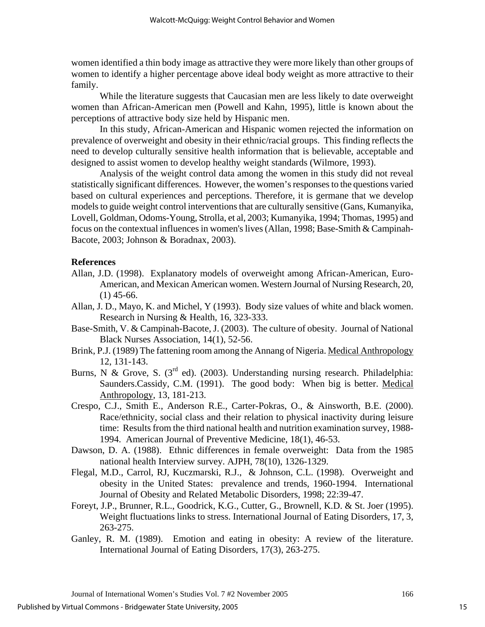women identified a thin body image as attractive they were more likely than other groups of women to identify a higher percentage above ideal body weight as more attractive to their family.

 While the literature suggests that Caucasian men are less likely to date overweight women than African-American men (Powell and Kahn, 1995), little is known about the perceptions of attractive body size held by Hispanic men.

In this study, African-American and Hispanic women rejected the information on prevalence of overweight and obesity in their ethnic/racial groups. This finding reflects the need to develop culturally sensitive health information that is believable, acceptable and designed to assist women to develop healthy weight standards (Wilmore, 1993).

 Analysis of the weight control data among the women in this study did not reveal statistically significant differences. However, the women's responses to the questions varied based on cultural experiences and perceptions. Therefore, it is germane that we develop models to guide weight control interventions that are culturally sensitive (Gans, Kumanyika, Lovell, Goldman, Odoms-Young, Strolla, et al, 2003; Kumanyika, 1994; Thomas, 1995) and focus on the contextual influences in women's lives (Allan, 1998; Base-Smith & Campinah-Bacote, 2003; Johnson & Boradnax, 2003).

#### **References**

- Allan, J.D. (1998). Explanatory models of overweight among African-American, Euro-American, and Mexican American women. Western Journal of Nursing Research, 20,  $(1)$  45-66.
- Allan, J. D., Mayo, K. and Michel, Y (1993). Body size values of white and black women. Research in Nursing & Health, 16, 323-333.
- Base-Smith, V. & Campinah-Bacote, J. (2003). The culture of obesity. Journal of National Black Nurses Association, 14(1), 52-56.
- Brink, P.J. (1989) The fattening room among the Annang of Nigeria. Medical Anthropology 12, 131-143.
- Burns, N & Grove, S.  $(3^{rd}$  ed). (2003). Understanding nursing research. Philadelphia: Saunders.Cassidy, C.M. (1991). The good body: When big is better. Medical Anthropology, 13, 181-213.
- Crespo, C.J., Smith E., Anderson R.E., Carter-Pokras, O., & Ainsworth, B.E. (2000). Race/ethnicity, social class and their relation to physical inactivity during leisure time: Results from the third national health and nutrition examination survey, 1988- 1994. American Journal of Preventive Medicine, 18(1), 46-53.
- Dawson, D. A. (1988). Ethnic differences in female overweight: Data from the 1985 national health Interview survey. AJPH, 78(10), 1326-1329.
- Flegal, M.D., Carrol, RJ, Kuczmarski, R.J., & Johnson, C.L. (1998). Overweight and obesity in the United States: prevalence and trends, 1960-1994. International Journal of Obesity and Related Metabolic Disorders, 1998; 22:39-47.
- Foreyt, J.P., Brunner, R.L., Goodrick, K.G., Cutter, G., Brownell, K.D. & St. Joer (1995). Weight fluctuations links to stress. International Journal of Eating Disorders, 17, 3, 263-275.
- Ganley, R. M. (1989). Emotion and eating in obesity: A review of the literature. International Journal of Eating Disorders, 17(3), 263-275.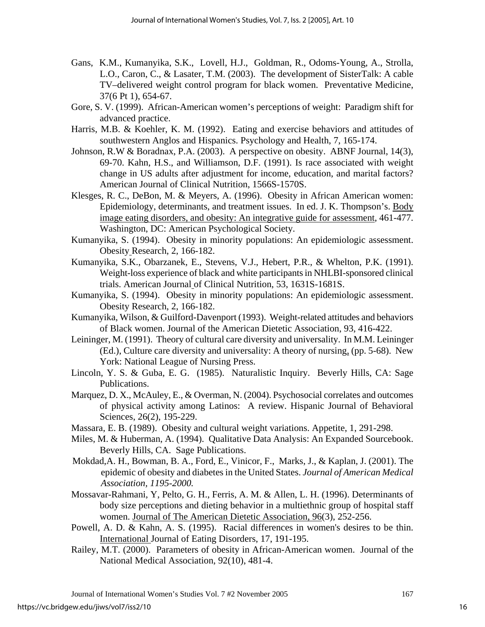- Gans, K.M., Kumanyika, S.K., Lovell, H.J., Goldman, R., Odoms-Young, A., Strolla, L.O., Caron, C., & Lasater, T.M. (2003). The development of SisterTalk: A cable TV–delivered weight control program for black women. Preventative Medicine, 37(6 Pt 1), 654-67.
- Gore, S. V. (1999). African-American women's perceptions of weight: Paradigm shift for advanced practice.
- Harris, M.B. & Koehler, K. M. (1992). Eating and exercise behaviors and attitudes of southwestern Anglos and Hispanics. Psychology and Health, 7, 165-174.
- Johnson, R.W & Boradnax, P.A. (2003). A perspective on obesity. ABNF Journal, 14(3), 69-70. Kahn, H.S., and Williamson, D.F. (1991). Is race associated with weight change in US adults after adjustment for income, education, and marital factors? American Journal of Clinical Nutrition, 1566S-1570S.
- Klesges, R. C., DeBon, M. & Meyers, A. (1996). Obesity in African American women: Epidemiology, determinants, and treatment issues. In ed. J. K. Thompson's. Body image eating disorders, and obesity: An integrative guide for assessment, 461-477. Washington, DC: American Psychological Society.
- Kumanyika, S. (1994). Obesity in minority populations: An epidemiologic assessment. Obesity Research, 2, 166-182.
- Kumanyika, S.K., Obarzanek, E., Stevens, V.J., Hebert, P.R., & Whelton, P.K. (1991). Weight-loss experience of black and white participants in NHLBI-sponsored clinical trials. American Journal of Clinical Nutrition, 53, 1631S-1681S.
- Kumanyika, S. (1994). Obesity in minority populations: An epidemiologic assessment. Obesity Research, 2, 166-182.
- Kumanyika, Wilson, & Guilford-Davenport (1993). Weight-related attitudes and behaviors of Black women. Journal of the American Dietetic Association, 93, 416-422.
- Leininger, M. (1991). Theory of cultural care diversity and universality. In M.M. Leininger (Ed.), Culture care diversity and universality: A theory of nursing, (pp. 5-68). New York: National League of Nursing Press.
- Lincoln, Y. S. & Guba, E. G. (1985). Naturalistic Inquiry. Beverly Hills, CA: Sage Publications.
- Marquez, D. X., McAuley, E., & Overman, N. (2004). Psychosocial correlates and outcomes of physical activity among Latinos: A review. Hispanic Journal of Behavioral Sciences, 26(2), 195-229.
- Massara, E. B. (1989). Obesity and cultural weight variations. Appetite, 1, 291-298.
- Miles, M. & Huberman, A. (1994). Qualitative Data Analysis: An Expanded Sourcebook. Beverly Hills, CA. Sage Publications.
- Mokdad,A. H., Bowman, B. A., Ford, E., Vinicor, F., Marks, J., & Kaplan, J. (2001). The epidemic of obesity and diabetes in the United States. *Journal of American Medical Association, 1195-2000.*
- Mossavar-Rahmani, Y, Pelto, G. H., Ferris, A. M. & Allen, L. H. (1996). Determinants of body size perceptions and dieting behavior in a multiethnic group of hospital staff women. Journal of The American Dietetic Association, 96(3), 252-256.
- Powell, A. D. & Kahn, A. S. (1995). Racial differences in women's desires to be thin. International Journal of Eating Disorders, 17, 191-195.
- Railey, M.T. (2000). Parameters of obesity in African-American women. Journal of the National Medical Association, 92(10), 481-4.